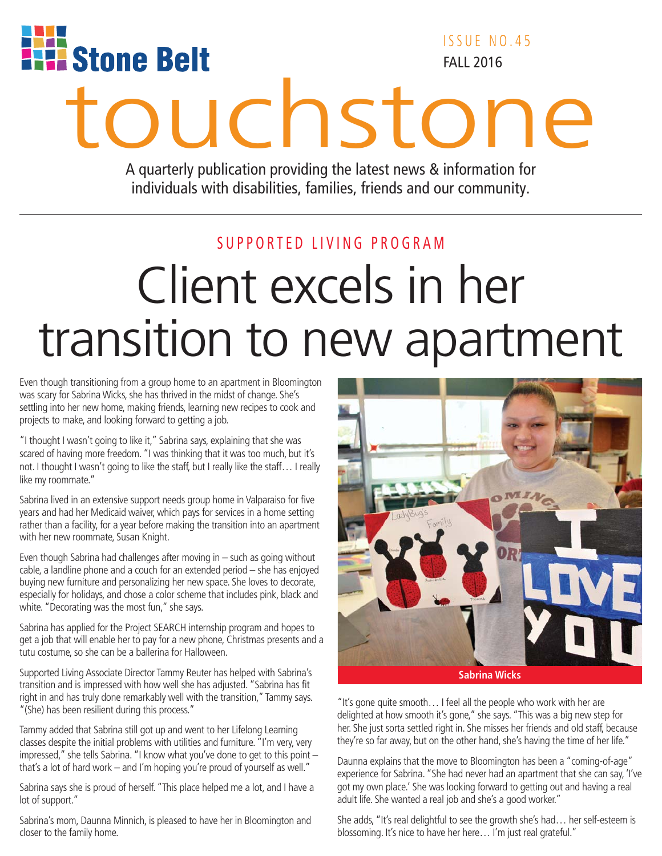

ISSUE NO.45 FALL 2016

# **touchstone**

A quarterly publication providing the latest news & information for individuals with disabilities, families, friends and our community.

#### SUPPORTED LIVING PROGRAM

# Client excels in her transition to new apartment

Even though transitioning from a group home to an apartment in Bloomington was scary for Sabrina Wicks, she has thrived in the midst of change. She's settling into her new home, making friends, learning new recipes to cook and projects to make, and looking forward to getting a job.

"I thought I wasn't going to like it," Sabrina says, explaining that she was scared of having more freedom. "I was thinking that it was too much, but it's not. I thought I wasn't going to like the staff, but I really like the staff… I really like my roommate."

Sabrina lived in an extensive support needs group home in Valparaiso for five years and had her Medicaid waiver, which pays for services in a home setting rather than a facility, for a year before making the transition into an apartment with her new roommate, Susan Knight.

Even though Sabrina had challenges after moving in – such as going without cable, a landline phone and a couch for an extended period – she has enjoyed buying new furniture and personalizing her new space. She loves to decorate, especially for holidays, and chose a color scheme that includes pink, black and white. "Decorating was the most fun," she says.

Sabrina has applied for the Project SEARCH internship program and hopes to get a job that will enable her to pay for a new phone, Christmas presents and a tutu costume, so she can be a ballerina for Halloween.

Supported Living Associate Director Tammy Reuter has helped with Sabrina's transition and is impressed with how well she has adjusted. "Sabrina has fit right in and has truly done remarkably well with the transition," Tammy says. "(She) has been resilient during this process."

Tammy added that Sabrina still got up and went to her Lifelong Learning classes despite the initial problems with utilities and furniture. "I'm very, very impressed," she tells Sabrina. "I know what you've done to get to this point – that's a lot of hard work – and I'm hoping you're proud of yourself as well."

Sabrina says she is proud of herself. "This place helped me a lot, and I have a lot of support."

Sabrina's mom, Daunna Minnich, is pleased to have her in Bloomington and closer to the family home.



**Sabrina Wicks**

"It's gone quite smooth… I feel all the people who work with her are delighted at how smooth it's gone," she says. "This was a big new step for her. She just sorta settled right in. She misses her friends and old staff, because they're so far away, but on the other hand, she's having the time of her life."

Daunna explains that the move to Bloomington has been a "coming-of-age" experience for Sabrina. "She had never had an apartment that she can say, 'I've got my own place.' She was looking forward to getting out and having a real adult life. She wanted a real job and she's a good worker."

She adds, "It's real delightful to see the growth she's had… her self-esteem is blossoming. It's nice to have her here… I'm just real grateful."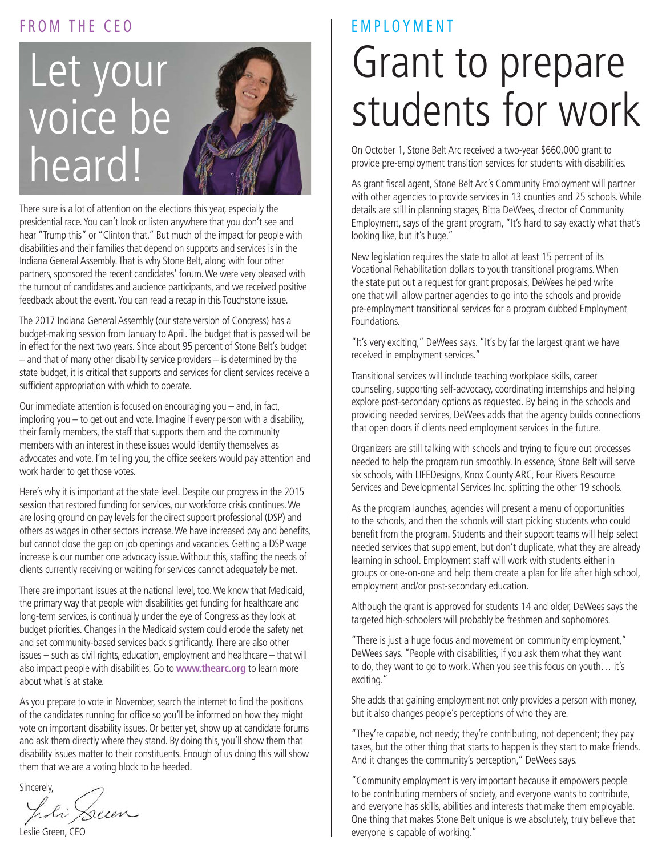#### FROM THE CEO

# Let your voice be heard!

There sure is a lot of attention on the elections this year, especially the presidential race. You can't look or listen anywhere that you don't see and hear "Trump this" or "Clinton that." But much of the impact for people with disabilities and their families that depend on supports and services is in the Indiana General Assembly. That is why Stone Belt, along with four other partners, sponsored the recent candidates' forum. We were very pleased with the turnout of candidates and audience participants, and we received positive feedback about the event. You can read a recap in this Touchstone issue.

The 2017 Indiana General Assembly (our state version of Congress) has a budget-making session from January to April. The budget that is passed will be in effect for the next two years. Since about 95 percent of Stone Belt's budget – and that of many other disability service providers – is determined by the state budget, it is critical that supports and services for client services receive a sufficient appropriation with which to operate.

Our immediate attention is focused on encouraging you – and, in fact, imploring you – to get out and vote. Imagine if every person with a disability, their family members, the staff that supports them and the community members with an interest in these issues would identify themselves as advocates and vote. I'm telling you, the office seekers would pay attention and work harder to get those votes.

Here's why it is important at the state level. Despite our progress in the 2015 session that restored funding for services, our workforce crisis continues. We are losing ground on pay levels for the direct support professional (DSP) and others as wages in other sectors increase. We have increased pay and benefits, but cannot close the gap on job openings and vacancies. Getting a DSP wage increase is our number one advocacy issue. Without this, staffing the needs of clients currently receiving or waiting for services cannot adequately be met.

There are important issues at the national level, too. We know that Medicaid, the primary way that people with disabilities get funding for healthcare and long-term services, is continually under the eye of Congress as they look at budget priorities. Changes in the Medicaid system could erode the safety net and set community-based services back significantly. There are also other issues – such as civil rights, education, employment and healthcare – that will also impact people with disabilities. Go to **www.thearc.org** to learn more about what is at stake.

As you prepare to vote in November, search the internet to find the positions of the candidates running for office so you'll be informed on how they might vote on important disability issues. Or better yet, show up at candidate forums and ask them directly where they stand. By doing this, you'll show them that disability issues matter to their constituents. Enough of us doing this will show them that we are a voting block to be heeded.

Sincerely,

hdi Sum

Leslie Green, CEO

# Grant to prepare students for work EMPLOYMENT

On October 1, Stone Belt Arc received a two-year \$660,000 grant to provide pre-employment transition services for students with disabilities.

As grant fiscal agent, Stone Belt Arc's Community Employment will partner with other agencies to provide services in 13 counties and 25 schools. While details are still in planning stages, Bitta DeWees, director of Community Employment, says of the grant program, "It's hard to say exactly what that's looking like, but it's huge."

New legislation requires the state to allot at least 15 percent of its Vocational Rehabilitation dollars to youth transitional programs. When the state put out a request for grant proposals, DeWees helped write one that will allow partner agencies to go into the schools and provide pre-employment transitional services for a program dubbed Employment Foundations.

"It's very exciting," DeWees says. "It's by far the largest grant we have received in employment services."

Transitional services will include teaching workplace skills, career counseling, supporting self-advocacy, coordinating internships and helping explore post-secondary options as requested. By being in the schools and providing needed services, DeWees adds that the agency builds connections that open doors if clients need employment services in the future.

Organizers are still talking with schools and trying to figure out processes needed to help the program run smoothly. In essence, Stone Belt will serve six schools, with LIFEDesigns, Knox County ARC, Four Rivers Resource Services and Developmental Services Inc. splitting the other 19 schools.

As the program launches, agencies will present a menu of opportunities to the schools, and then the schools will start picking students who could benefit from the program. Students and their support teams will help select needed services that supplement, but don't duplicate, what they are already learning in school. Employment staff will work with students either in groups or one-on-one and help them create a plan for life after high school, employment and/or post-secondary education.

Although the grant is approved for students 14 and older, DeWees says the targeted high-schoolers will probably be freshmen and sophomores.

"There is just a huge focus and movement on community employment," DeWees says. "People with disabilities, if you ask them what they want to do, they want to go to work. When you see this focus on youth… it's exciting."

She adds that gaining employment not only provides a person with money, but it also changes people's perceptions of who they are.

"They're capable, not needy; they're contributing, not dependent; they pay taxes, but the other thing that starts to happen is they start to make friends. And it changes the community's perception," DeWees says.

"Community employment is very important because it empowers people to be contributing members of society, and everyone wants to contribute, and everyone has skills, abilities and interests that make them employable. One thing that makes Stone Belt unique is we absolutely, truly believe that everyone is capable of working."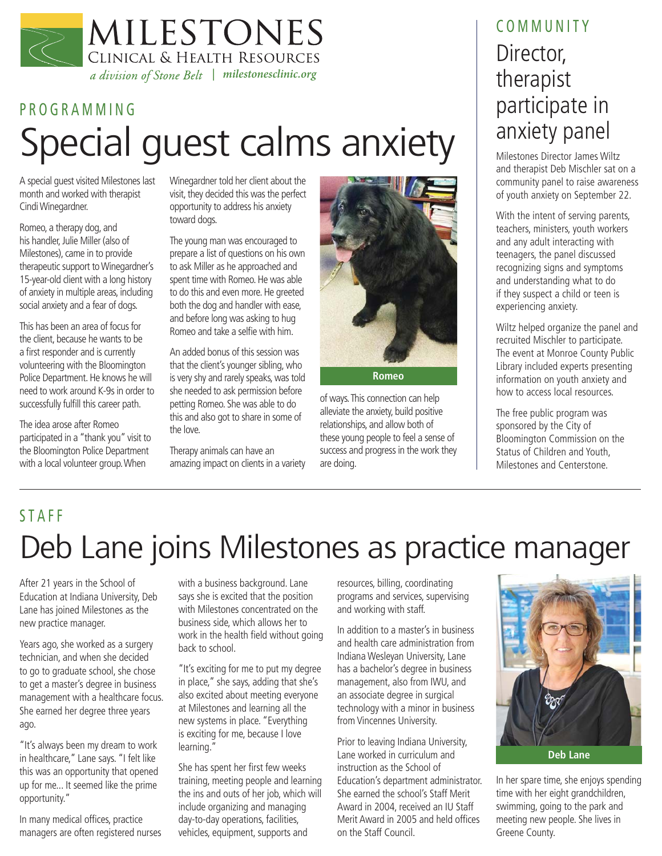

# PROGRAMMING Special guest calms anxiety  $\parallel$ <sup>anxiety panel</sup>

A special guest visited Milestones last month and worked with therapist Cindi Winegardner.

Romeo, a therapy dog, and his handler, Julie Miller (also of Milestones), came in to provide therapeutic support to Winegardner's 15-year-old client with a long history of anxiety in multiple areas, including social anxiety and a fear of dogs.

This has been an area of focus for the client, because he wants to be a first responder and is currently volunteering with the Bloomington Police Department. He knows he will need to work around K-9s in order to successfully fulfill this career path.

The idea arose after Romeo participated in a "thank you" visit to the Bloomington Police Department with a local volunteer group. When

Winegardner told her client about the visit, they decided this was the perfect opportunity to address his anxiety toward dogs.

The young man was encouraged to prepare a list of questions on his own to ask Miller as he approached and spent time with Romeo. He was able to do this and even more. He greeted both the dog and handler with ease, and before long was asking to hug Romeo and take a selfie with him.

An added bonus of this session was that the client's younger sibling, who is very shy and rarely speaks, was told she needed to ask permission before petting Romeo. She was able to do this and also got to share in some of the love.

Therapy animals can have an amazing impact on clients in a variety



of ways. This connection can help alleviate the anxiety, build positive relationships, and allow both of these young people to feel a sense of success and progress in the work they are doing.

### Director, therapist participate in anxiety panel COMMUNITY

and therapist Deb Mischler sat on a community panel to raise awareness of youth anxiety on September 22.

With the intent of serving parents, teachers, ministers, youth workers and any adult interacting with teenagers, the panel discussed recognizing signs and symptoms and understanding what to do if they suspect a child or teen is experiencing anxiety.

Wiltz helped organize the panel and recruited Mischler to participate. The event at Monroe County Public Library included experts presenting information on youth anxiety and how to access local resources.

The free public program was sponsored by the City of Bloomington Commission on the Status of Children and Youth, Milestones and Centerstone.

## Deb Lane joins Milestones as practice manager STAFF

After 21 years in the School of Education at Indiana University, Deb Lane has joined Milestones as the new practice manager.

Years ago, she worked as a surgery technician, and when she decided to go to graduate school, she chose to get a master's degree in business management with a healthcare focus. She earned her degree three years ago.

"It's always been my dream to work in healthcare," Lane says. "I felt like this was an opportunity that opened up for me... It seemed like the prime opportunity."

In many medical offices, practice managers are often registered nurses with a business background. Lane says she is excited that the position with Milestones concentrated on the business side, which allows her to work in the health field without going back to school.

"It's exciting for me to put my degree in place," she says, adding that she's also excited about meeting everyone at Milestones and learning all the new systems in place. "Everything is exciting for me, because I love learning."

She has spent her first few weeks training, meeting people and learning the ins and outs of her job, which will include organizing and managing day-to-day operations, facilities, vehicles, equipment, supports and

resources, billing, coordinating programs and services, supervising and working with staff.

In addition to a master's in business and health care administration from Indiana Wesleyan University, Lane has a bachelor's degree in business management, also from IWU, and an associate degree in surgical technology with a minor in business from Vincennes University.

Prior to leaving Indiana University, Lane worked in curriculum and instruction as the School of Education's department administrator. She earned the school's Staff Merit Award in 2004, received an IU Staff Merit Award in 2005 and held offices on the Staff Council.



In her spare time, she enjoys spending time with her eight grandchildren, swimming, going to the park and meeting new people. She lives in Greene County.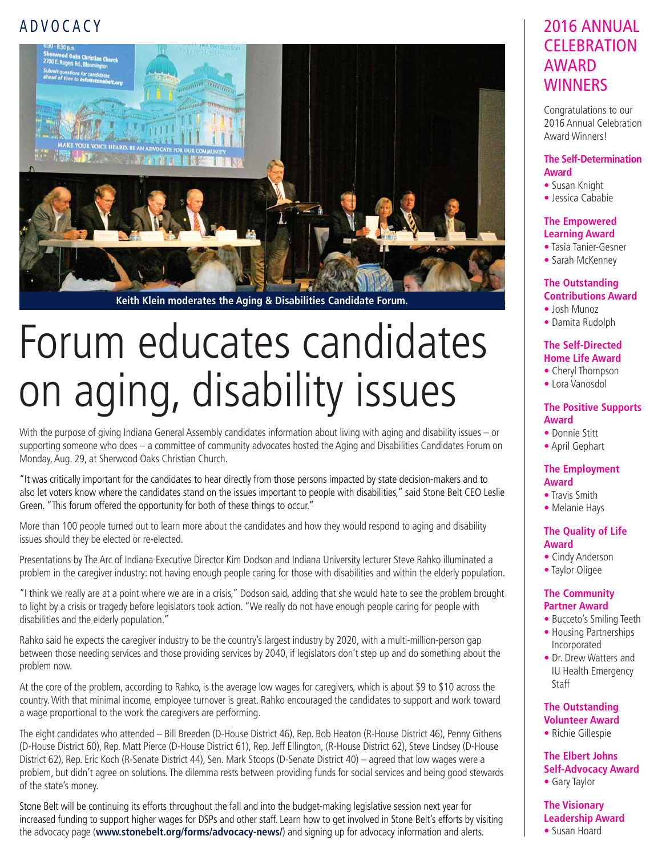#### ADVOCACY



**Keith Klein moderates the Aging & Disabilities Candidate Forum.**

# Forum educates candidates on aging, disability issues

With the purpose of giving Indiana General Assembly candidates information about living with aging and disability issues – or supporting someone who does – a committee of community advocates hosted the Aging and Disabilities Candidates Forum on Monday, Aug. 29, at Sherwood Oaks Christian Church.

"It was critically important for the candidates to hear directly from those persons impacted by state decision-makers and to also let voters know where the candidates stand on the issues important to people with disabilities," said Stone Belt CEO Leslie Green. "This forum offered the opportunity for both of these things to occur."

More than 100 people turned out to learn more about the candidates and how they would respond to aging and disability issues should they be elected or re-elected.

Presentations by The Arc of Indiana Executive Director Kim Dodson and Indiana University lecturer Steve Rahko illuminated a problem in the caregiver industry: not having enough people caring for those with disabilities and within the elderly population.

"I think we really are at a point where we are in a crisis," Dodson said, adding that she would hate to see the problem brought to light by a crisis or tragedy before legislators took action. "We really do not have enough people caring for people with disabilities and the elderly population."

Rahko said he expects the caregiver industry to be the country's largest industry by 2020, with a multi-million-person gap between those needing services and those providing services by 2040, if legislators don't step up and do something about the problem now.

At the core of the problem, according to Rahko, is the average low wages for caregivers, which is about \$9 to \$10 across the country. With that minimal income, employee turnover is great. Rahko encouraged the candidates to support and work toward a wage proportional to the work the caregivers are performing.

The eight candidates who attended – Bill Breeden (D-House District 46), Rep. Bob Heaton (R-House District 46), Penny Githens (D-House District 60), Rep. Matt Pierce (D-House District 61), Rep. Jeff Ellington, (R-House District 62), Steve Lindsey (D-House District 62), Rep. Eric Koch (R-Senate District 44), Sen. Mark Stoops (D-Senate District 40) – agreed that low wages were a problem, but didn't agree on solutions. The dilemma rests between providing funds for social services and being good stewards of the state's money.

Stone Belt will be continuing its efforts throughout the fall and into the budget-making legislative session next year for increased funding to support higher wages for DSPs and other staff. Learn how to get involved in Stone Belt's efforts by visiting the advocacy page (**www.stonebelt.org/forms/advocacy-news/**) and signing up for advocacy information and alerts.

#### 2016 ANNUAL **CELEBRATION** AWARD **WINNERS**

Congratulations to our 2016 Annual Celebration Award Winners!

#### **The Self-Determination Award**

- Susan Knight
- Jessica Cababie

#### **The Empowered Learning Award**

- Tasia Tanier-Gesner
- Sarah McKenney

#### **The Outstanding Contributions Award**

- Josh Munoz
- Damita Rudolph

#### **The Self-Directed Home Life Award**

- Cheryl Thompson
- Lora Vanosdol

#### **The Positive Supports Award**

- Donnie Stitt
- April Gephart

#### **The Employment Award**

- Travis Smith
- Melanie Hays

#### **The Quality of Life Award**

- Cindy Anderson
- Taylor Oligee

#### **The Community Partner Award**

- Bucceto's Smiling Teeth • Housing Partnerships Incorporated
- Dr. Drew Watters and IU Health Emergency **Staff**

#### **The Outstanding Volunteer Award**

• Richie Gillespie

**The Elbert Johns Self-Advocacy Award** • Gary Taylor

**The Visionary Leadership Award**

• Susan Hoard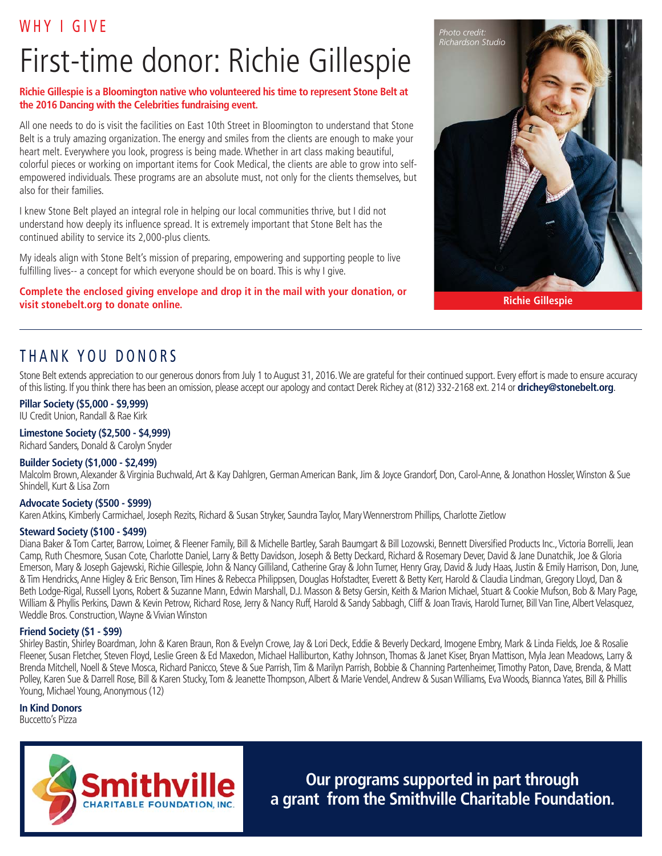#### WHY I GIVE

# First-time donor: Richie Gillespie

#### **Richie Gillespie is a Bloomington native who volunteered his time to represent Stone Belt at the 2016 Dancing with the Celebrities fundraising event.**

All one needs to do is visit the facilities on East 10th Street in Bloomington to understand that Stone Belt is a truly amazing organization. The energy and smiles from the clients are enough to make your heart melt. Everywhere you look, progress is being made. Whether in art class making beautiful, colorful pieces or working on important items for Cook Medical, the clients are able to grow into selfempowered individuals. These programs are an absolute must, not only for the clients themselves, but also for their families.

I knew Stone Belt played an integral role in helping our local communities thrive, but I did not understand how deeply its influence spread. It is extremely important that Stone Belt has the continued ability to service its 2,000-plus clients.

My ideals align with Stone Belt's mission of preparing, empowering and supporting people to live fulfilling lives-- a concept for which everyone should be on board. This is why I give.

**Complete the enclosed giving envelope and drop it in the mail with your donation, or visit stonebelt.org to donate online.** 



**Richie Gillespie**

#### THANK YOU DONORS

Stone Belt extends appreciation to our generous donors from July 1 to August 31, 2016. We are grateful for their continued support. Every effort is made to ensure accuracy of this listing. If you think there has been an omission, please accept our apology and contact Derek Richey at (812) 332-2168 ext. 214 or **drichey@stonebelt.org**.

#### **Pillar Society (\$5,000 - \$9,999)**

IU Credit Union, Randall & Rae Kirk

#### **Limestone Society (\$2,500 - \$4,999)**

Richard Sanders, Donald & Carolyn Snyder

#### **Builder Society (\$1,000 - \$2,499)**

Malcolm Brown, Alexander & Virginia Buchwald, Art & Kay Dahlgren, German American Bank, Jim & Joyce Grandorf, Don, Carol-Anne, & Jonathon Hossler, Winston & Sue Shindell, Kurt & Lisa Zorn

#### **Advocate Society (\$500 - \$999)**

Karen Atkins, Kimberly Carmichael, Joseph Rezits, Richard & Susan Stryker, Saundra Taylor, Mary Wennerstrom Phillips, Charlotte Zietlow

#### **Steward Society (\$100 - \$499)**

Diana Baker & Tom Carter, Barrow, Loimer, & Fleener Family, Bill & Michelle Bartley, Sarah Baumgart & Bill Lozowski, Bennett Diversified Products Inc., Victoria Borrelli, Jean Camp, Ruth Chesmore, Susan Cote, Charlotte Daniel, Larry & Betty Davidson, Joseph & Betty Deckard, Richard & Rosemary Dever, David & Jane Dunatchik, Joe & Gloria Emerson, Mary & Joseph Gajewski, Richie Gillespie, John & Nancy Gilliland, Catherine Gray & John Turner, Henry Gray, David & Judy Haas, Justin & Emily Harrison, Don, June, & Tim Hendricks, Anne Higley & Eric Benson, Tim Hines & Rebecca Philippsen, Douglas Hofstadter, Everett & Betty Kerr, Harold & Claudia Lindman, Gregory Lloyd, Dan & Beth Lodge-Rigal, Russell Lyons, Robert & Suzanne Mann, Edwin Marshall, D.J. Masson & Betsy Gersin, Keith & Marion Michael, Stuart & Cookie Mufson, Bob & Mary Page, William & Phyllis Perkins, Dawn & Kevin Petrow, Richard Rose, Jerry & Nancy Ruff, Harold & Sandy Sabbagh, Cliff & Joan Travis, Harold Turner, Bill Van Tine, Albert Velasquez, Weddle Bros. Construction, Wayne & Vivian Winston

#### **Friend Society (\$1 - \$99)**

Shirley Bastin, Shirley Boardman, John & Karen Braun, Ron & Evelyn Crowe, Jay & Lori Deck, Eddie & Beverly Deckard, Imogene Embry, Mark & Linda Fields, Joe & Rosalie Fleener, Susan Fletcher, Steven Floyd, Leslie Green & Ed Maxedon, Michael Halliburton, Kathy Johnson, Thomas & Janet Kiser, Bryan Mattison, Myla Jean Meadows, Larry & Brenda Mitchell, Noell & Steve Mosca, Richard Panicco, Steve & Sue Parrish, Tim & Marilyn Parrish, Bobbie & Channing Partenheimer, Timothy Paton, Dave, Brenda, & Matt Polley, Karen Sue & Darrell Rose, Bill & Karen Stucky, Tom & Jeanette Thompson, Albert & Marie Vendel, Andrew & Susan Williams, Eva Woods, Biannca Yates, Bill & Phillis Young, Michael Young, Anonymous (12)

#### **In Kind Donors**

Buccetto's Pizza



**Our programs supported in part through a grant from the Smithville Charitable Foundation.**